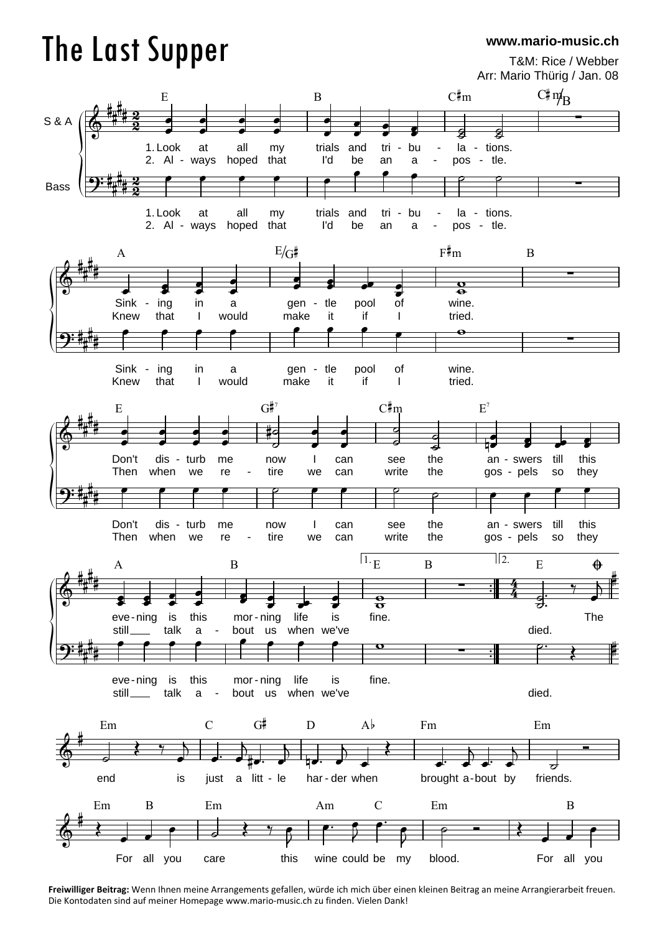## The Last Supper

**www.mario-music.ch**

T&M: Rice / Webber Arr: Mario Thürig / Jan. 08



**Freiwilliger Beitrag:** Wenn Ihnen meine Arrangements gefallen, würde ich mich über einen kleinen Beitrag an meine Arrangierarbeit freuen. Die Kontodaten sind auf meiner Homepage www.mario-music.ch zu finden. Vielen Dank!